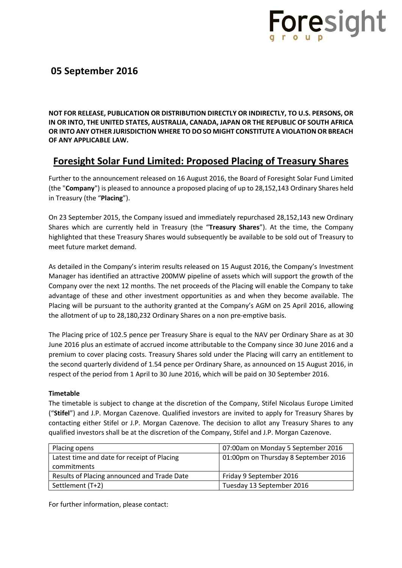

## **05 September 2016**

**NOT FOR RELEASE, PUBLICATION OR DISTRIBUTION DIRECTLY OR INDIRECTLY, TO U.S. PERSONS, OR IN OR INTO, THE UNITED STATES, AUSTRALIA, CANADA, JAPAN OR THE REPUBLIC OF SOUTH AFRICA OR INTO ANY OTHER JURISDICTION WHERE TO DO SO MIGHT CONSTITUTE A VIOLATION OR BREACH OF ANY APPLICABLE LAW.**

# **Foresight Solar Fund Limited: Proposed Placing of Treasury Shares**

Further to the announcement released on 16 August 2016, the Board of Foresight Solar Fund Limited (the "**Company**") is pleased to announce a proposed placing of up to 28,152,143 Ordinary Shares held in Treasury (the "**Placing**").

On 23 September 2015, the Company issued and immediately repurchased 28,152,143 new Ordinary Shares which are currently held in Treasury (the "**Treasury Shares**"). At the time, the Company highlighted that these Treasury Shares would subsequently be available to be sold out of Treasury to meet future market demand.

As detailed in the Company's interim results released on 15 August 2016, the Company's Investment Manager has identified an attractive 200MW pipeline of assets which will support the growth of the Company over the next 12 months. The net proceeds of the Placing will enable the Company to take advantage of these and other investment opportunities as and when they become available. The Placing will be pursuant to the authority granted at the Company's AGM on 25 April 2016, allowing the allotment of up to 28,180,232 Ordinary Shares on a non pre-emptive basis.

The Placing price of 102.5 pence per Treasury Share is equal to the NAV per Ordinary Share as at 30 June 2016 plus an estimate of accrued income attributable to the Company since 30 June 2016 and a premium to cover placing costs. Treasury Shares sold under the Placing will carry an entitlement to the second quarterly dividend of 1.54 pence per Ordinary Share, as announced on 15 August 2016, in respect of the period from 1 April to 30 June 2016, which will be paid on 30 September 2016.

### **Timetable**

The timetable is subject to change at the discretion of the Company, Stifel Nicolaus Europe Limited ("**Stifel**") and J.P. Morgan Cazenove. Qualified investors are invited to apply for Treasury Shares by contacting either Stifel or J.P. Morgan Cazenove. The decision to allot any Treasury Shares to any qualified investors shall be at the discretion of the Company, Stifel and J.P. Morgan Cazenove.

| Placing opens                               | 07:00am on Monday 5 September 2016   |  |
|---------------------------------------------|--------------------------------------|--|
| Latest time and date for receipt of Placing | 01:00pm on Thursday 8 September 2016 |  |
| commitments                                 |                                      |  |
| Results of Placing announced and Trade Date | Friday 9 September 2016              |  |
| Settlement (T+2)                            | Tuesday 13 September 2016            |  |

For further information, please contact: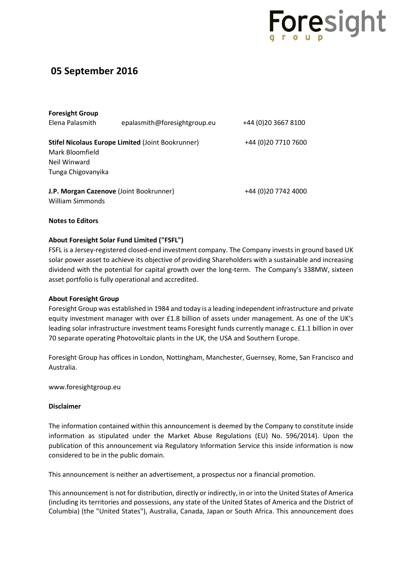

# **05 September 2016**

| <b>Foresight Group</b>                                      |                              |                      |
|-------------------------------------------------------------|------------------------------|----------------------|
| Elena Palasmith                                             | epalasmith@foresightgroup.eu | +44 (0) 20 3667 8100 |
| <b>Stifel Nicolaus Europe Limited (Joint Bookrunner)</b>    |                              | +44 (0)20 7710 7600  |
| Mark Bloomfield                                             |                              |                      |
| Neil Winward                                                |                              |                      |
| Tunga Chigovanyika                                          |                              |                      |
| J.P. Morgan Cazenove (Joint Bookrunner)<br>William Simmonds |                              | +44 (0)20 7742 4000  |

## **Notes to Editors**

## **About Foresight Solar Fund Limited ("FSFL")**

FSFL is a Jersey-registered closed-end investment company. The Company invests in ground based UK solar power asset to achieve its objective of providing Shareholders with a sustainable and increasing dividend with the potential for capital growth over the long-term. The Company's 338MW, sixteen asset portfolio is fully operational and accredited.

### **About Foresight Group**

Foresight Group was established in 1984 and today is a leading independent infrastructure and private equity investment manager with over £1.8 billion of assets under management. As one of the UK's leading solar infrastructure investment teams Foresight funds currently manage c. £1.1 billion in over 70 separate operating Photovoltaic plants in the UK, the USA and Southern Europe.

Foresight Group has offices in London, Nottingham, Manchester, Guernsey, Rome, San Francisco and Australia.

www.foresightgroup.eu

### **Disclaimer**

The information contained within this announcement is deemed by the Company to constitute inside information as stipulated under the Market Abuse Regulations (EU) No. 596/2014). Upon the publication of this announcement via Regulatory Information Service this inside information is now considered to be in the public domain.

This announcement is neither an advertisement, a prospectus nor a financial promotion.

This announcement is not for distribution, directly or indirectly, in or into the United States of America (including its territories and possessions, any state of the United States of America and the District of Columbia) (the "United States"), Australia, Canada, Japan or South Africa. This announcement does